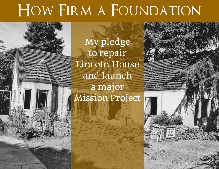## HOW FIRM A FOUNDATION

My pledge to repair Lincoln House and launch a major Mission Project